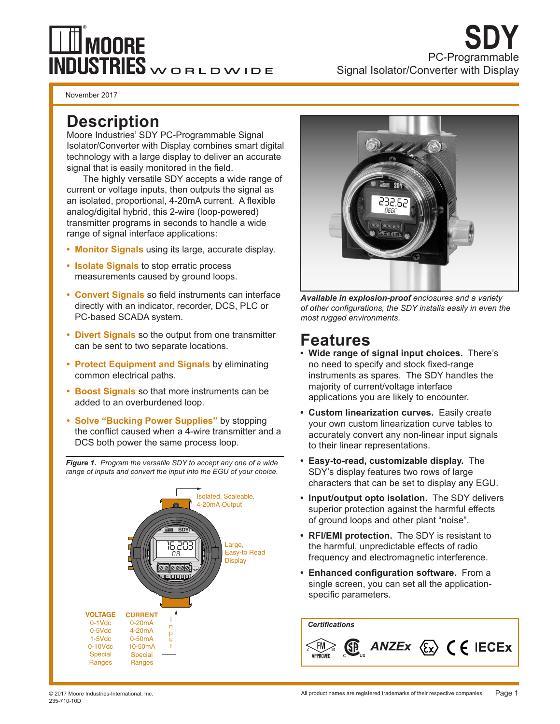# **MOORE INDUSTRIES** WORLDWIDE

**SDY**  PC-Programmable Signal Isolator/Converter with Display

November 2017

# **Description**

Moore Industries' SDY PC-Programmable Signal Isolator/Converter with Display combines smart digital technology with a large display to deliver an accurate signal that is easily monitored in the field.

The highly versatile SDY accepts a wide range of current or voltage inputs, then outputs the signal as an isolated, proportional, 4-20mA current. A flexible analog/digital hybrid, this 2-wire (loop-powered) transmitter programs in seconds to handle a wide range of signal interface applications:

- **Monitor Signals** using its large, accurate display.
- **• Isolate Signals** to stop erratic process measurements caused by ground loops.
- **• Convert Signals** so field instruments can interface directly with an indicator, recorder, DCS, PLC or PC-based SCADA system.
- **• Divert Signals** so the output from one transmitter can be sent to two separate locations.
- **• Protect Equipment and Signals** by eliminating common electrical paths.
- **• Boost Signals** so that more instruments can be added to an overburdened loop.
- **• Solve "Bucking Power Supplies"** by stopping the conflict caused when a 4-wire transmitter and a DCS both power the same process loop.

*Figure 1. Program the versatile SDY to accept any one of a wide range of inputs and convert the input into the EGU of your choice.*





*Available in explosion-proof enclosures and a variety of other configurations, the SDY installs easily in even the most rugged environments.*

# **Features**

- **• Wide range of signal input choices.** There's no need to specify and stock fixed-range instruments as spares. The SDY handles the majority of current/voltage interface applications you are likely to encounter.
- **• Custom linearization curves.** Easily create your own custom linearization curve tables to accurately convert any non-linear input signals to their linear representations.
- **• Easy-to-read, customizable display.** The SDY's display features two rows of large characters that can be set to display any EGU.
- **• Input/output opto isolation.** The SDY delivers superior protection against the harmful effects of ground loops and other plant "noise".
- **• RFI/EMI protection.** The SDY is resistant to the harmful, unpredictable effects of radio frequency and electromagnetic interference.
- **• Enhanced configuration software.** From a single screen, you can set all the applicationspecific parameters.

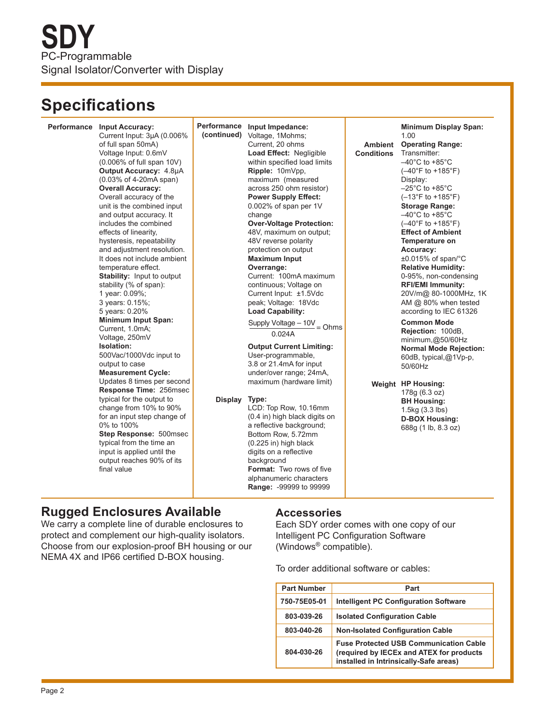# **Specifications**

Performance Input Impedance: Voltage, 1Mohms; Current, 20 ohms **Load Effect:** Negligible within specified load limits **Ripple:** 10mVpp, maximum (measured across 250 ohm resistor) **Power Supply Effect:** 0.002% of span per 1V change **Over-Voltage Protection:**  48V, maximum on output; 48V reverse polarity protection on output **Maximum Input Overrange:**  Current: 100mA maximum continuous; Voltage on Current Input: ±1.5Vdc peak; Voltage: 18Vdc **Load Capability: Output Current Limiting:**  User-programmable, 3.8 or 21.4mA for input under/over range; 24mA, maximum (hardware limit) **Type: Display** LCD: Top Row, 10.16mm (0.4 in) high black digits on a reflective background; Bottom Row, 5.72mm (0.225 in) high black digits on a reflective background **Format:** Two rows of five alphanumeric characters **Range:** -99999 to 99999 **Performance Input Accuracy:** Performance Current Input: 3μA (0.006% of full span 50mA) Voltage Input: 0.6mV (0.006% of full span 10V) **Output Accuracy:** 4.8μA (0.03% of 4-20mA span) **Overall Accuracy:**  Overall accuracy of the unit is the combined input and output accuracy. It includes the combined effects of linearity, hysteresis, repeatability and adjustment resolution. It does not include ambient temperature effect. **Stability:** Input to output stability (% of span): 1 year: 0.09%; 3 years: 0.15%; 5 years: 0.20% **Minimum Input Span:** Current, 1.0mA; Voltage, 250mV **Isolation:**  500Vac/1000Vdc input to output to case **Measurement Cycle:** Updates 8 times per second **Response Time:** 256msec typical for the output to change from 10% to 90% for an input step change of 0% to 100% **Step Response:** 500msec typical from the time an input is applied until the output reaches 90% of its final value **(continued) Ambient Conditions Minimum Display Span:** 1.00 **Operating Range:** Transmitter:  $-40^{\circ}$ C to  $+85^{\circ}$ C (–40°F to +185°F) Display:  $-25^{\circ}$ C to +85 $^{\circ}$ C (–13°F to +185°F) **Storage Range:**  $-40^{\circ}$ C to  $+85^{\circ}$ C (–40°F to +185°F) **Effect of Ambient Temperature on Accuracy:**  ±0.015% of span/°C **Relative Humidity:** 0-95%, non-condensing **RFI/EMI Immunity:** 20V/m@ 80-1000MHz, 1K AM @ 80% when tested according to IEC 61326 **Common Mode Rejection:** 100dB, minimum,@50/60Hz **Normal Mode Rejection:**  60dB, typical,@1Vp-p, 50/60Hz **HP Housing: Weight**178g (6.3 oz) **BH Housing:** 1.5kg (3.3 lbs) **D-BOX Housing:** 688g (1 lb, 8.3 oz)  $\frac{\text{Supply Voltage} - 10V}{\text{Simplify}} = \text{Ohms}$ 0.024A

### **Rugged Enclosures Available**

We carry a complete line of durable enclosures to protect and complement our high-quality isolators. Choose from our explosion-proof BH housing or our NEMA 4X and IP66 certified D-BOX housing.

#### **Accessories**

Each SDY order comes with one copy of our Intelligent PC Configuration Software (Windows® compatible).

To order additional software or cables:

| <b>Part Number</b> | Part                                                                                                                                |
|--------------------|-------------------------------------------------------------------------------------------------------------------------------------|
| 750-75E05-01       | <b>Intelligent PC Configuration Software</b>                                                                                        |
| 803-039-26         | <b>Isolated Configuration Cable</b>                                                                                                 |
| 803-040-26         | <b>Non-Isolated Configuration Cable</b>                                                                                             |
| 804-030-26         | <b>Fuse Protected USB Communication Cable</b><br>(required by IECEx and ATEX for products<br>installed in Intrinsically-Safe areas) |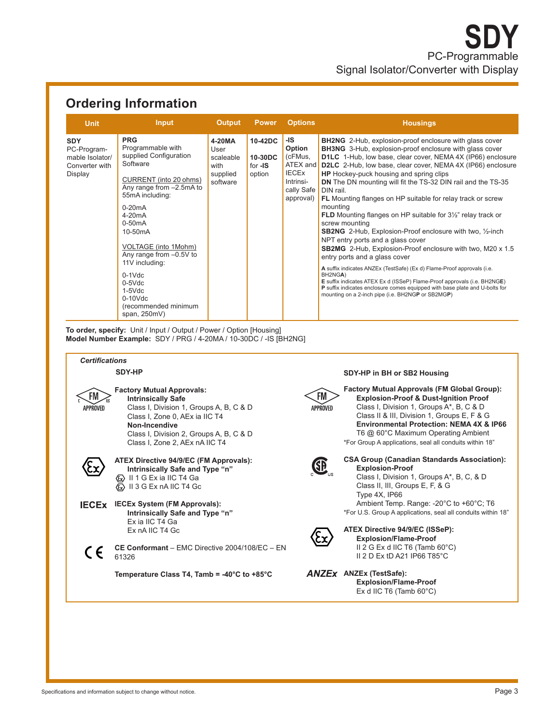# **Ordering Information**

| <b>Unit</b>                                                               | <b>Input</b>                                                                                                                                                                                                                                                                                                                                                                         | <b>Output</b>                                               | Power                                   | <b>Options</b>                                                                               | <b>Housings</b>                                                                                                                                                                                                                                                                                                                                                                                                                                                                                                                                                                                                                                                                                                                                                                                                                                                                                                                                                                                                                                                                                         |
|---------------------------------------------------------------------------|--------------------------------------------------------------------------------------------------------------------------------------------------------------------------------------------------------------------------------------------------------------------------------------------------------------------------------------------------------------------------------------|-------------------------------------------------------------|-----------------------------------------|----------------------------------------------------------------------------------------------|---------------------------------------------------------------------------------------------------------------------------------------------------------------------------------------------------------------------------------------------------------------------------------------------------------------------------------------------------------------------------------------------------------------------------------------------------------------------------------------------------------------------------------------------------------------------------------------------------------------------------------------------------------------------------------------------------------------------------------------------------------------------------------------------------------------------------------------------------------------------------------------------------------------------------------------------------------------------------------------------------------------------------------------------------------------------------------------------------------|
| <b>SDY</b><br>PC-Program-<br>mable Isolator/<br>Converter with<br>Display | <b>PRG</b><br>Programmable with<br>supplied Configuration<br>Software<br>CURRENT (into 20 ohms)<br>Any range from -2.5mA to<br>55mA including:<br>$0-20mA$<br>$4-20mA$<br>$0-50mA$<br>10-50 <sub>m</sub> A<br>VOLTAGE (into 1Mohm)<br>Any range from $-0.5V$ to<br>11V including:<br>$0-1$ $Vdc$<br>$0-5$ $Vdc$<br>$1-5$ $Vdc$<br>$0-10$ Vdc<br>(recommended minimum<br>span, 250mV) | 4-20MA<br>User<br>scaleable<br>with<br>supplied<br>software | 10-42DC<br>10-30DC<br>for -IS<br>option | -IS<br>Option<br>(cFMus,<br>ATEX and<br><b>IECEX</b><br>Intrinsi-<br>cally Safe<br>approval) | <b>BH2NG</b> 2-Hub, explosion-proof enclosure with glass cover<br><b>BH3NG</b> 3-Hub, explosion-proof enclosure with glass cover<br>D1LC 1-Hub, low base, clear cover, NEMA 4X (IP66) enclosure<br>D2LC 2-Hub, low base, clear cover, NEMA 4X (IP66) enclosure<br><b>HP</b> Hockey-puck housing and spring clips<br>DN The DN mounting will fit the TS-32 DIN rail and the TS-35<br>DIN rail.<br><b>FL</b> Mounting flanges on HP suitable for relay track or screw<br>mounting<br><b>FLD</b> Mounting flanges on HP suitable for $3\frac{1}{2}$ " relay track or<br>screw mounting<br><b>SB2NG</b> 2-Hub, Explosion-Proof enclosure with two, 1/2-inch<br>NPT entry ports and a glass cover<br><b>SB2MG</b> 2-Hub, Explosion-Proof enclosure with two, M20 x 1.5<br>entry ports and a glass cover<br>A suffix indicates ANZEx (TestSafe) (Ex d) Flame-Proof approvals (i.e.<br>BH2NGA)<br>E suffix indicates ATEX Ex d (ISSeP) Flame-Proof approvals (i.e. BH2NGE)<br>P suffix indicates enclosure comes equipped with base plate and U-bolts for<br>mounting on a 2-inch pipe (i.e. BH2NGP or SB2MGP) |

**To order, specify:** Unit / Input / Output / Power / Option [Housing] **Model Number Example:** SDY / PRG / 4-20MA / 10-30DC / -IS [BH2NG]

| <b>Certifications</b>                                                                                                                                                                                                                    |                       |                                                                                                                                                                                                                                                                                                                                                            |  |  |  |  |
|------------------------------------------------------------------------------------------------------------------------------------------------------------------------------------------------------------------------------------------|-----------------------|------------------------------------------------------------------------------------------------------------------------------------------------------------------------------------------------------------------------------------------------------------------------------------------------------------------------------------------------------------|--|--|--|--|
| SDY-HP                                                                                                                                                                                                                                   |                       | SDY-HP in BH or SB2 Housing                                                                                                                                                                                                                                                                                                                                |  |  |  |  |
| <b>Factory Mutual Approvals:</b><br><b>Intrinsically Safe</b><br>Class I, Division 1, Groups A, B, C & D<br>Class I, Zone 0, AEx ia IIC T4<br>Non-Incendive<br>Class I, Division 2, Groups A, B, C & D<br>Class I, Zone 2, AEx nA IIC T4 | FM<br><b>APPROVED</b> | <b>Factory Mutual Approvals (FM Global Group):</b><br><b>Explosion-Proof &amp; Dust-Ignition Proof</b><br>Class I, Division 1, Groups A*, B, C & D<br>Class II & III, Division 1, Groups E, F & G<br><b>Environmental Protection: NEMA 4X &amp; IP66</b><br>T6 @ 60°C Maximum Operating Ambient<br>*For Group A applications, seal all conduits within 18" |  |  |  |  |
| ATEX Directive 94/9/EC (FM Approvals):<br>Intrinsically Safe and Type "n"<br><b>&amp;</b> II 1 G Ex ia IIC T4 Ga<br>Ex II 3 G Ex nA IIC T4 Gc                                                                                            |                       | <b>CSA Group (Canadian Standards Association):</b><br><b>Explosion-Proof</b><br>Class I, Division 1, Groups A*, B, C, & D<br>Class II, III, Groups E, F, & G<br>Type 4X, IP66                                                                                                                                                                              |  |  |  |  |
| <b>IECEx System (FM Approvals):</b><br>Intrinsically Safe and Type "n"<br>Ex ia IIC T4 Ga                                                                                                                                                |                       | Ambient Temp. Range: -20°C to +60°C; T6<br>*For U.S. Group A applications, seal all conduits within 18"                                                                                                                                                                                                                                                    |  |  |  |  |
| CE Conformant - EMC Directive 2004/108/EC - EN<br>61326                                                                                                                                                                                  |                       | ATEX Directive 94/9/EC (ISSeP):<br><b>Explosion/Flame-Proof</b><br>II 2 G Ex d IIC T6 (Tamb $60^{\circ}$ C)<br>II 2 D Ex tD A21 IP66 T85°C                                                                                                                                                                                                                 |  |  |  |  |
| Temperature Class T4, Tamb = -40 $^{\circ}$ C to +85 $^{\circ}$ C                                                                                                                                                                        |                       | <b>ANZEX</b> ANZEx (TestSafe):<br><b>Explosion/Flame-Proof</b><br>Ex d IIC T6 (Tamb $60^{\circ}$ C)                                                                                                                                                                                                                                                        |  |  |  |  |
|                                                                                                                                                                                                                                          |                       |                                                                                                                                                                                                                                                                                                                                                            |  |  |  |  |
|                                                                                                                                                                                                                                          | Ex nA IIC T4 Gc       |                                                                                                                                                                                                                                                                                                                                                            |  |  |  |  |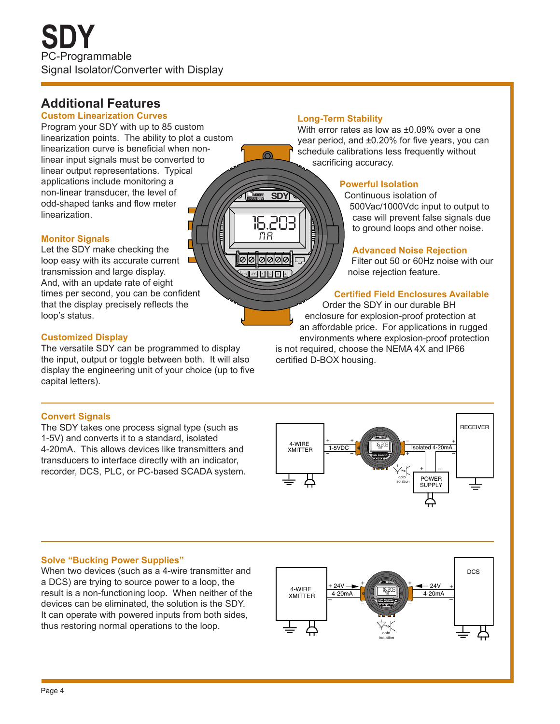## **Additional Features**

**Custom Linearization Curves**

Program your SDY with up to 85 custom linearization points. The ability to plot a custom linearization curve is beneficial when nonlinear input signals must be converted to linear output representations. Typical applications include monitoring a non-linear transducer, the level of odd-shaped tanks and flow meter linearization.

#### **Monitor Signals**

Let the SDY make checking the loop easy with its accurate current transmission and large display. And, with an update rate of eight times per second, you can be confident that the display precisely reflects the loop's status.

#### **Customized Display**

The versatile SDY can be programmed to display the input, output or toggle between both. It will also display the engineering unit of your choice (up to five capital letters).

#### **Long-Term Stability**

<sup>-</sup><br><sup>PS</sup> 1 2 3 4

ଡାଡା

||⊘||⊘||⊘

**MOORE** SDY

⋒

*16.203*  $\overline{B}$ 

With error rates as low as ±0.09% over a one year period, and ±0.20% for five years, you can schedule calibrations less frequently without sacrificing accuracy.

#### **Powerful Isolation**

Continuous isolation of 500Vac/1000Vdc input to output to case will prevent false signals due to ground loops and other noise.

#### **Advanced Noise Rejection**

Filter out 50 or 60Hz noise with our noise rejection feature.

#### **Certified Field Enclosures Available**

Order the SDY in our durable BH enclosure for explosion-proof protection at an affordable price. For applications in rugged environments where explosion-proof protection is not required, choose the NEMA 4X and IP66 certified D-BOX housing.

#### **Convert Signals**

The SDY takes one process signal type (such as 1-5V) and converts it to a standard, isolated 4-20mA. This allows devices like transmitters and transducers to interface directly with an indicator, recorder, DCS, PLC, or PC-based SCADA system.



#### **Solve "Bucking Power Supplies"**

When two devices (such as a 4-wire transmitter and a DCS) are trying to source power to a loop, the result is a non-functioning loop. When neither of the devices can be eliminated, the solution is the SDY. It can operate with powered inputs from both sides, thus restoring normal operations to the loop.

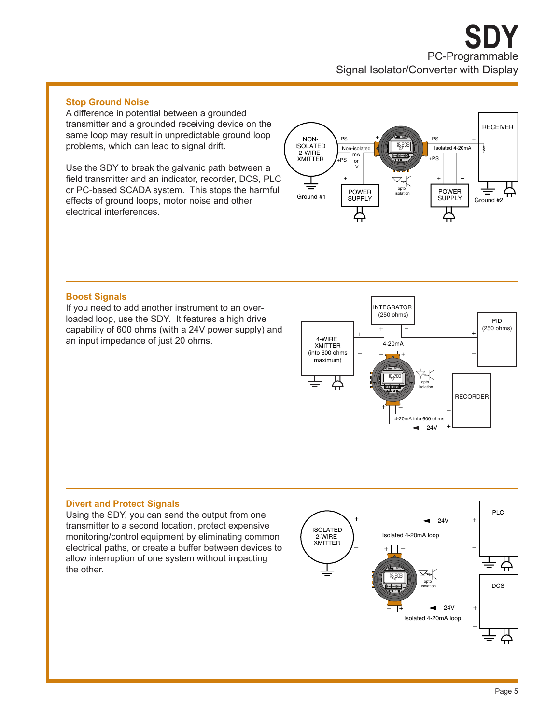#### **Stop Ground Noise**

A difference in potential between a grounded transmitter and a grounded receiving device on the same loop may result in unpredictable ground loop problems, which can lead to signal drift.

Use the SDY to break the galvanic path between a field transmitter and an indicator, recorder, DCS, PLC or PC-based SCADA system. This stops the harmful effects of ground loops, motor noise and other electrical interferences.



#### **Boost Signals**

If you need to add another instrument to an overloaded loop, use the SDY. It features a high drive capability of 600 ohms (with a 24V power supply) and an input impedance of just 20 ohms.



#### **Divert and Protect Signals**

Using the SDY, you can send the output from one transmitter to a second location, protect expensive monitoring/control equipment by eliminating common electrical paths, or create a buffer between devices to allow interruption of one system without impacting the other.

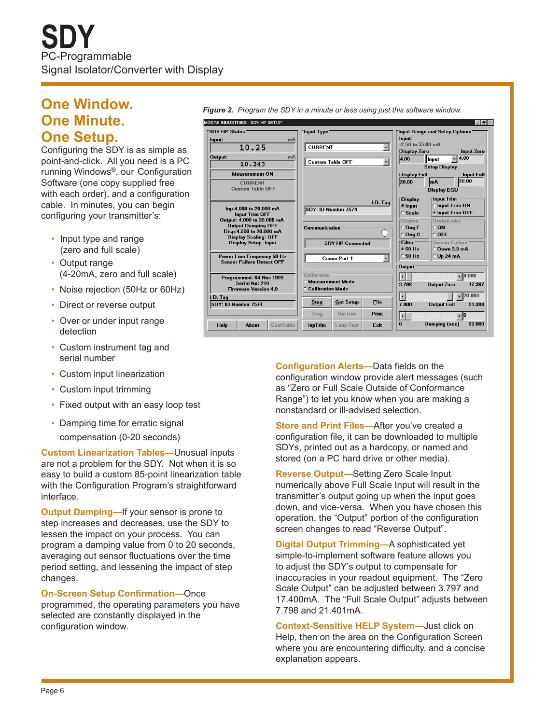# **One Window. One Minute. One Setup.**

Configuring the SDY is as simple as point-and-click. All you need is a PC running Windows®, our Configuration Software (one copy supplied free with each order), and a configuration cable. In minutes, you can begin configuring your transmitter's:

- Input type and range (zero and full scale)
- Output range (4-20mA, zero and full scale)
- Noise rejection (50Hz or 60Hz)
- Direct or reverse output
- Over or under input range detection
- Custom instrument tag and serial number
- Custom input linearization
- Custom input trimming
- Fixed output with an easy loop test
- Damping time for erratic signal compensation (0-20 seconds)

**Custom Linearization Tables—**Unusual inputs are not a problem for the SDY. Not when it is so easy to build a custom 85-point linearization table with the Configuration Program's straightforward interface.

**Output Damping—**If your sensor is prone to step increases and decreases, use the SDY to lessen the impact on your process. You can program a damping value from 0 to 20 seconds, averaging out sensor fluctuations over the time period setting, and lessening the impact of step changes.

#### **On-Screen Setup Confirmation—**Once

programmed, the operating parameters you have selected are constantly displayed in the configuration window.



**Configuration Alerts—**Data fields on the configuration window provide alert messages (such as "Zero or Full Scale Outside of Conformance Range") to let you know when you are making a nonstandard or ill-advised selection.

**Store and Print Files—**After you've created a configuration file, it can be downloaded to multiple SDYs, printed out as a hardcopy, or named and stored (on a PC hard drive or other media).

**Reverse Output—**Setting Zero Scale Input numerically above Full Scale Input will result in the transmitter's output going up when the input goes down, and vice-versa. When you have chosen this operation, the "Output" portion of the configuration screen changes to read "Reverse Output".

**Digital Output Trimming—**A sophisticated yet simple-to-implement software feature allows you to adjust the SDY's output to compensate for inaccuracies in your readout equipment. The "Zero Scale Output" can be adjusted between 3.797 and 17.400mA. The "Full Scale Output" adjusts between 7.798 and 21.401mA.

**Context-Sensitive HELP System—**Just click on Help, then on the area on the Configuration Screen where you are encountering difficulty, and a concise explanation appears.

Page 6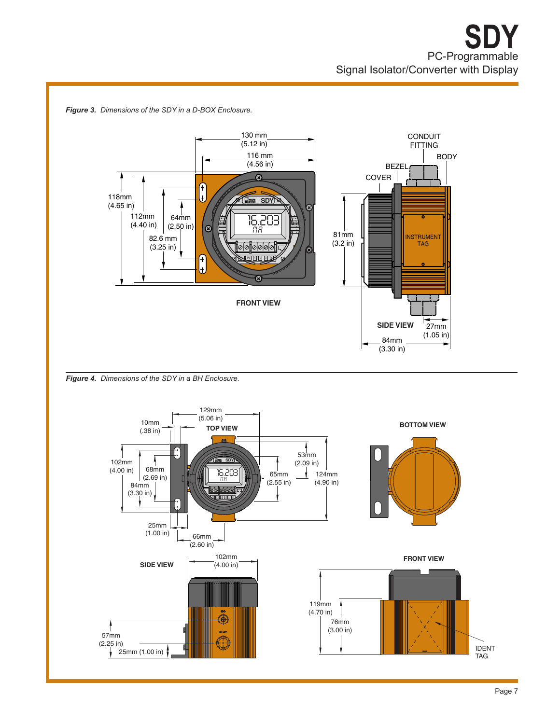

*Figure 3. Dimensions of the SDY in a D-BOX Enclosure.*

*Figure 4. Dimensions of the SDY in a BH Enclosure.*